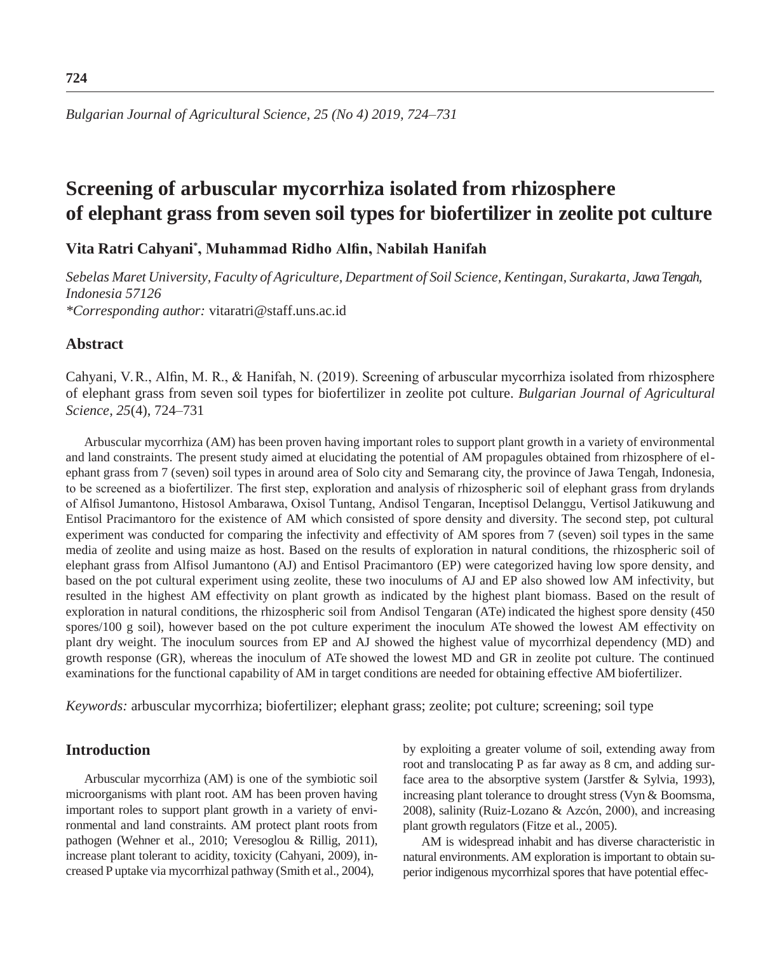# **Screening of arbuscular mycorrhiza isolated from rhizosphere of elephant grass from seven soil types for biofertilizer in zeolite pot culture**

## **Vita Ratri Cahyani\* , Muhammad Ridho Alfin, Nabilah Hanifah**

*Sebelas Maret University, Faculty of Agriculture, Department of Soil Science, Kentingan, Surakarta, Jawa Tengah, Indonesia 57126*

*\*Corresponding author:* [vitaratri@staff.uns.ac.id](mailto:vitaratri@staff.uns.ac.id)

## **Abstract**

Cahyani, V. R., Alfin, M. R., & Hanifah, N. (2019). Screening of arbuscular mycorrhiza isolated from rhizosphere of elephant grass from seven soil types for biofertilizer in zeolite pot culture. *Bulgarian Journal of Agricultural Science, 25*(4), 724–731

Arbuscular mycorrhiza (AM) has been proven having important roles to support plant growth in a variety of environmental and land constraints. The present study aimed at elucidating the potential of AM propagules obtained from rhizosphere of elephant grass from 7 (seven) soil types in around area of Solo city and Semarang city, the province of Jawa Tengah, Indonesia, to be screened as a biofertilizer. The first step, exploration and analysis of rhizospheric soil of elephant grass from drylands of Alfisol Jumantono, Histosol Ambarawa, Oxisol Tuntang, Andisol Tengaran, Inceptisol Delanggu, Vertisol Jatikuwung and Entisol Pracimantoro for the existence of AM which consisted of spore density and diversity. The second step, pot cultural experiment was conducted for comparing the infectivity and effectivity of AM spores from 7 (seven) soil types in the same media of zeolite and using maize as host. Based on the results of exploration in natural conditions, the rhizospheric soil of elephant grass from Alfisol Jumantono (AJ) and Entisol Pracimantoro (EP) were categorized having low spore density, and based on the pot cultural experiment using zeolite, these two inoculums of AJ and EP also showed low AM infectivity, but resulted in the highest AM effectivity on plant growth as indicated by the highest plant biomass. Based on the result of exploration in natural conditions, the rhizospheric soil from Andisol Tengaran (ATe) indicated the highest spore density (450 spores/100 g soil), however based on the pot culture experiment the inoculum ATe showed the lowest AM effectivity on plant dry weight. The inoculum sources from EP and AJ showed the highest value of mycorrhizal dependency (MD) and growth response (GR), whereas the inoculum of ATe showed the lowest MD and GR in zeolite pot culture. The continued examinations for the functional capability of AM in target conditions are needed for obtaining effective AM biofertilizer.

*Keywords:* arbuscular mycorrhiza; biofertilizer; elephant grass; zeolite; pot culture; screening; soil type

## **Introduction**

Arbuscular mycorrhiza (AM) is one of the symbiotic soil microorganisms with plant root. AM has been proven having important roles to support plant growth in a variety of environmental and land constraints. AM protect plant roots from pathogen (Wehner et al., 2010; Veresoglou & Rillig, 2011), increase plant tolerant to acidity, toxicity (Cahyani, 2009), increased P uptake via mycorrhizal pathway (Smith et al., 2004),

by exploiting a greater volume of soil, extending away from root and translocating P as far away as 8 cm, and adding surface area to the absorptive system (Jarstfer & Sylvia, 1993), increasing plant tolerance to drought stress (Vyn & Boomsma, 2008), salinity (Ruiz-Lozano & Azcón, 2000), and increasing plant growth regulators (Fitze et al., 2005).

AM is widespread inhabit and has diverse characteristic in natural environments. AM exploration is important to obtain superior indigenous mycorrhizal spores that have potential effec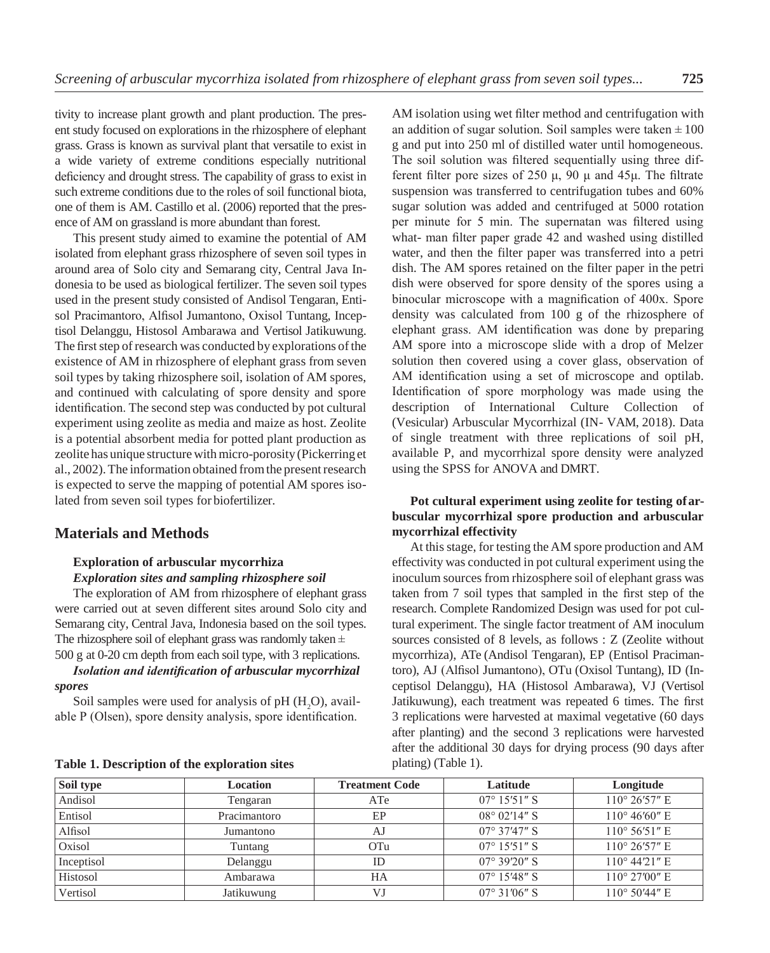tivity to increase plant growth and plant production. The present study focused on explorations in the rhizosphere of elephant grass. Grass is known as survival plant that versatile to exist in a wide variety of extreme conditions especially nutritional deficiency and drought stress. The capability of grass to exist in such extreme conditions due to the roles of soil functional biota, one of them is AM. Castillo et al. (2006) reported that the presence of AM on grassland is more abundant than forest.

This present study aimed to examine the potential of AM isolated from elephant grass rhizosphere of seven soil types in around area of Solo city and Semarang city, Central Java Indonesia to be used as biological fertilizer. The seven soil types used in the present study consisted of Andisol Tengaran, Entisol Pracimantoro, Alfisol Jumantono, Oxisol Tuntang, Inceptisol Delanggu, Histosol Ambarawa and Vertisol Jatikuwung. The first step of research was conducted by explorations of the existence of AM in rhizosphere of elephant grass from seven soil types by taking rhizosphere soil, isolation of AM spores, and continued with calculating of spore density and spore identification. The second step was conducted by pot cultural experiment using zeolite as media and maize as host. Zeolite is a potential absorbent media for potted plant production as zeolite has unique structure withmicro-porosity (Pickerring et al., 2002). The information obtained from the present research is expected to serve the mapping of potential AM spores isolated from seven soil types for biofertilizer.

#### **Materials and Methods**

#### **Exploration of arbuscular mycorrhiza** *Exploration sites and sampling rhizosphere soil*

The exploration of AM from rhizosphere of elephant grass were carried out at seven different sites around Solo city and Semarang city, Central Java, Indonesia based on the soil types. The rhizosphere soil of elephant grass was randomly taken  $\pm$ 500 g at 0-20 cm depth from each soil type, with 3 replications.

## *Isolation and identification of arbuscular mycorrhizal spores*

Soil samples were used for analysis of  $pH$  ( $H<sub>2</sub>O$ ), available P (Olsen), spore density analysis, spore identification. AM isolation using wet filter method and centrifugation with an addition of sugar solution. Soil samples were taken  $\pm 100$ g and put into 250 ml of distilled water until homogeneous. The soil solution was filtered sequentially using three different filter pore sizes of 250  $\mu$ , 90  $\mu$  and 45 $\mu$ . The filtrate suspension was transferred to centrifugation tubes and 60% sugar solution was added and centrifuged at 5000 rotation per minute for 5 min. The supernatan was filtered using what- man filter paper grade 42 and washed using distilled water, and then the filter paper was transferred into a petri dish. The AM spores retained on the filter paper in the petri dish were observed for spore density of the spores using a binocular microscope with a magnification of 400x. Spore density was calculated from 100 g of the rhizosphere of elephant grass. AM identification was done by preparing AM spore into a microscope slide with a drop of Melzer solution then covered using a cover glass, observation of AM identification using a set of microscope and optilab. Identification of spore morphology was made using the description of International Culture Collection of (Vesicular) Arbuscular Mycorrhizal (IN- VAM, 2018). Data of single treatment with three replications of soil pH, available P, and mycorrhizal spore density were analyzed using the SPSS for ANOVA and DMRT.

#### **Pot cultural experiment using zeolite for testing ofarbuscular mycorrhizal spore production and arbuscular mycorrhizal effectivity**

At this stage, for testing the AM spore production and AM effectivity was conducted in pot cultural experiment using the inoculum sources from rhizosphere soil of elephant grass was taken from 7 soil types that sampled in the first step of the research. Complete Randomized Design was used for pot cultural experiment. The single factor treatment of AM inoculum sources consisted of 8 levels, as follows : Z (Zeolite without mycorrhiza), ATe (Andisol Tengaran), EP (Entisol Pracimantoro), AJ (Alfisol Jumantono), OTu (Oxisol Tuntang), ID (Inceptisol Delanggu), HA (Histosol Ambarawa), VJ (Vertisol Jatikuwung), each treatment was repeated 6 times. The first 3 replications were harvested at maximal vegetative (60 days after planting) and the second 3 replications were harvested after the additional 30 days for drying process (90 days after plating) (Table 1).

| Soil type  | <b>Location</b> | <b>Treatment Code</b> | Latitude              | Longitude              |
|------------|-----------------|-----------------------|-----------------------|------------------------|
| Andisol    | Tengaran        | ATe                   | $07^{\circ}$ 15'51" S | $110^{\circ}$ 26'57" E |
| Entisol    | Pracimantoro    | EP                    | $08^{\circ}$ 02'14" S | $110^{\circ}$ 46'60" E |
| Alfisol    | Jumantono       | A.J                   | $07^{\circ}$ 37'47" S | $110^{\circ}$ 56'51" E |
| Oxisol     | Tuntang         | OTu                   | $07^{\circ}$ 15'51" S | $110^{\circ}$ 26'57" E |
| Inceptisol | Delanggu        | ID                    | $07^{\circ}$ 39'20" S | $110^{\circ}$ 44'21" E |
| Histosol   | Ambarawa        | HA                    | $07^{\circ}$ 15'48" S | $110^{\circ}$ 27'00" E |
| Vertisol   | Jatikuwung      | VJ                    | $07^{\circ}$ 31'06" S | $110^{\circ}$ 50'44" E |

|  |  |  | Table 1. Description of the exploration sites |  |
|--|--|--|-----------------------------------------------|--|
|--|--|--|-----------------------------------------------|--|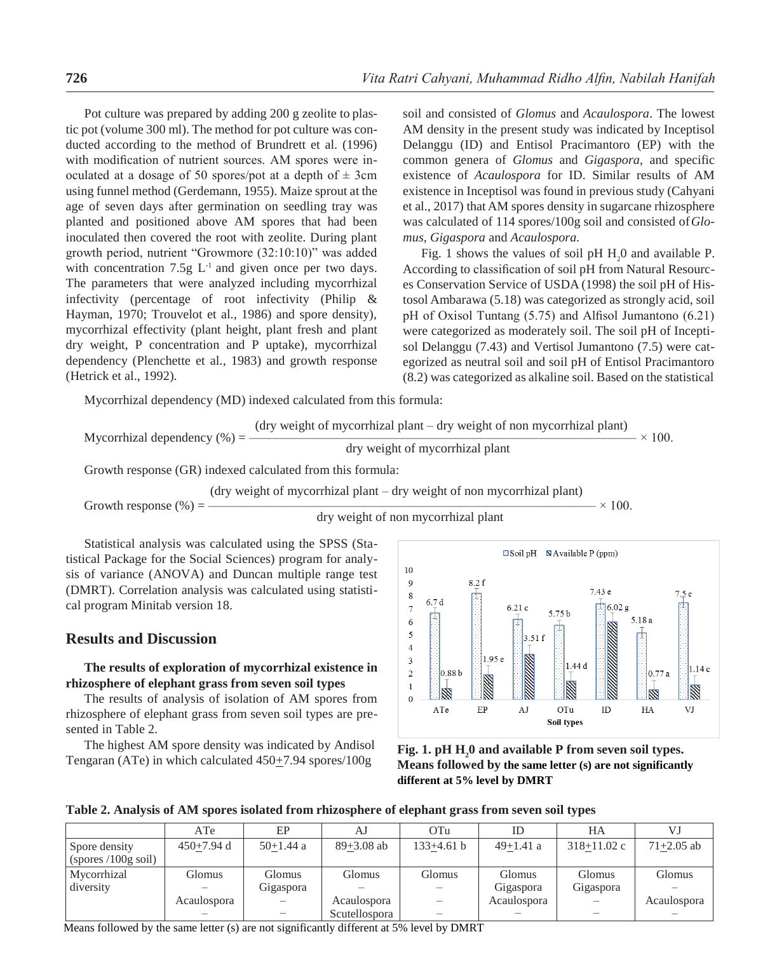Pot culture was prepared by adding 200 g zeolite to plastic pot (volume 300 ml). The method for pot culture was conducted according to the method of Brundrett et al. (1996) with modification of nutrient sources. AM spores were inoculated at a dosage of 50 spores/pot at a depth of  $\pm$  3cm using funnel method (Gerdemann, 1955). Maize sprout at the age of seven days after germination on seedling tray was planted and positioned above AM spores that had been inoculated then covered the root with zeolite. During plant growth period, nutrient "Growmore (32:10:10)" was added with concentration 7.5g  $L^{-1}$  and given once per two days. The parameters that were analyzed including mycorrhizal infectivity (percentage of root infectivity (Philip & Hayman, 1970; Trouvelot et al., 1986) and spore density), mycorrhizal effectivity (plant height, plant fresh and plant dry weight, P concentration and P uptake), mycorrhizal dependency (Plenchette et al., 1983) and growth response (Hetrick et al., 1992).

soil and consisted of *Glomus* and *Acaulospora*. The lowest AM density in the present study was indicated by Inceptisol Delanggu (ID) and Entisol Pracimantoro (EP) with the common genera of *Glomus* and *Gigaspora*, and specific existence of *Acaulospora* for ID. Similar results of AM existence in Inceptisol was found in previous study (Cahyani et al., 2017) that AM spores density in sugarcane rhizosphere was calculated of 114 spores/100g soil and consisted of*Glomus, Gigaspora* and *Acaulospora.*

Fig. 1 shows the values of soil pH  $H_2$ 0 and available P. According to classification of soil pH from Natural Resources Conservation Service of USDA (1998) the soil pH of Histosol Ambarawa (5.18) was categorized as strongly acid, soil pH of Oxisol Tuntang (5.75) and Alfisol Jumantono (6.21) were categorized as moderately soil. The soil pH of Inceptisol Delanggu (7.43) and Vertisol Jumantono (7.5) were categorized as neutral soil and soil pH of Entisol Pracimantoro (8.2) was categorized as alkaline soil. Based on the statistical

Mycorrhizal dependency (MD) indexed calculated from this formula:

Mycorrhizal denendency (%) = 
$$
\frac{\text{(dry weight of mycorrhizal plant)} - \text{dry weight of non mycorrhizal plant}}{100} \times 100
$$

$$
dy \text{ weight of mycorrhizal plant}
$$

Growth response (GR) indexed calculated from this formula:

(dry weight of mycorrhizal plant – dry weight of non mycorrhizal plant)

Growth response (%) = –––––––––––––––––––––––––––––––––––––––––––––––––––––––––––– × 100.

dry weight of non mycorrhizal plant

Statistical analysis was calculated using the SPSS (Statistical Package for the Social Sciences) program for analysis of variance (ANOVA) and Duncan multiple range test (DMRT). Correlation analysis was calculated using statistical program Minitab version 18.

### **Results and Discussion**

### **The results of exploration of mycorrhizal existence in rhizosphere of elephant grass from seven soil types**

The results of analysis of isolation of AM spores from rhizosphere of elephant grass from seven soil types are presented in Table 2.

The highest AM spore density was indicated by Andisol Tengaran (ATe) in which calculated 450+7.94 spores/100g





**Table 2. Analysis of AM spores isolated from rhizosphere of elephant grass from seven soil types**

|                                     | ATe          | EP            | AJ             | OTu          | ID          | HА              | V.J            |
|-------------------------------------|--------------|---------------|----------------|--------------|-------------|-----------------|----------------|
| Spore density<br>(sports/100g soil) | $450+7.94$ d | $50+1.44$ a   | $89 + 3.08$ ab | $133+4.61 b$ | $49+1.41$ a | $318 + 11.02$ c | $71 + 2.05$ ab |
| Mycorrhizal                         | Glomus       | <b>Glomus</b> | Glomus         | Glomus       | Glomus      | Glomus          | Glomus         |
| diversity                           |              | Gigaspora     |                |              | Gigaspora   | Gigaspora       |                |
|                                     | Acaulospora  |               | Acaulospora    |              | Acaulospora |                 | Acaulospora    |
|                                     |              |               | Scutellospora  |              |             |                 |                |

Means followed by the same letter (s) are not significantly different at 5% level by DMRT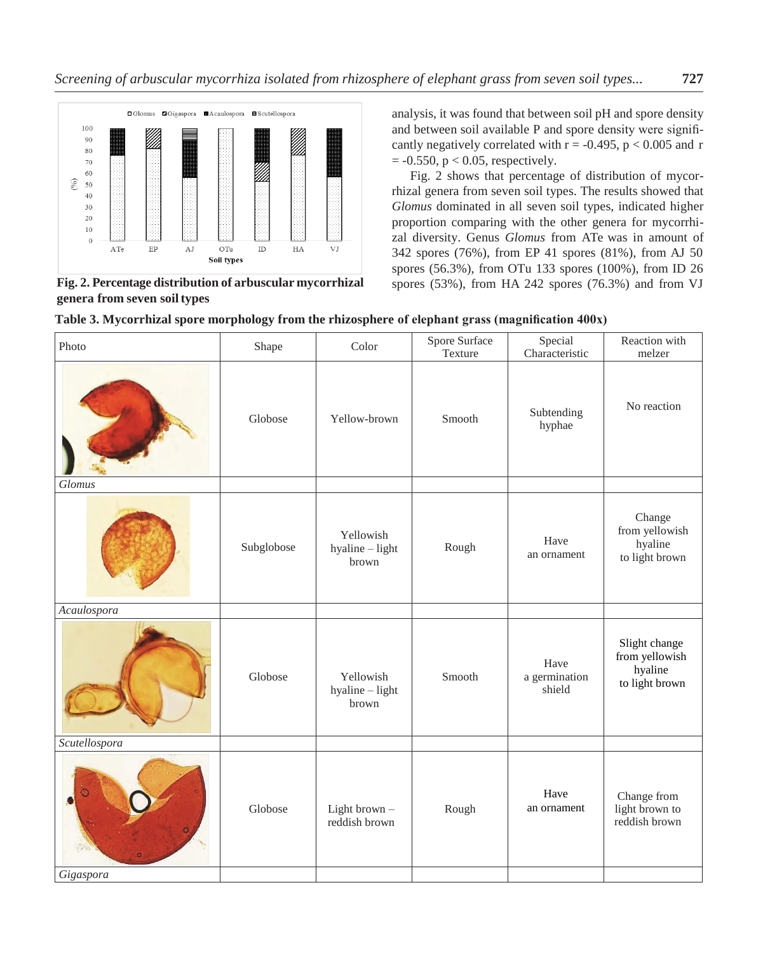

**Fig. 2. Percentage distribution of arbuscular mycorrhizal genera from seven soiltypes**

analysis, it was found that between soil pH and spore density and between soil available P and spore density were significantly negatively correlated with  $r = -0.495$ ,  $p < 0.005$  and r  $= -0.550$ ,  $p < 0.05$ , respectively.

Fig. 2 shows that percentage of distribution of mycorrhizal genera from seven soil types. The results showed that *Glomus* dominated in all seven soil types, indicated higher proportion comparing with the other genera for mycorrhizal diversity. Genus *Glomus* from ATe was in amount of 342 spores (76%), from EP 41 spores (81%), from AJ 50 spores (56.3%), from OTu 133 spores (100%), from ID 26 spores (53%), from HA 242 spores (76.3%) and from VJ

| Photo         | Shape      | Color                                 | Spore Surface<br>Texture | Special<br>Characteristic       | Reaction with<br>melzer                                      |
|---------------|------------|---------------------------------------|--------------------------|---------------------------------|--------------------------------------------------------------|
|               | Globose    | Yellow-brown                          | Smooth                   | Subtending<br>hyphae            | No reaction                                                  |
| Glomus        |            |                                       |                          |                                 |                                                              |
|               | Subglobose | Yellowish<br>hyaline - light<br>brown | Rough                    | Have<br>an ornament             | Change<br>from yellowish<br>hyaline<br>to light brown        |
| Acaulospora   |            |                                       |                          |                                 |                                                              |
|               | Globose    | Yellowish<br>hyaline - light<br>brown | Smooth                   | Have<br>a germination<br>shield | Slight change<br>from yellowish<br>hyaline<br>to light brown |
| Scutellospora |            |                                       |                          |                                 |                                                              |
|               | Globose    | Light brown -<br>reddish brown        | Rough                    | Have<br>an ornament             | Change from<br>light brown to<br>reddish brown               |
| Gigaspora     |            |                                       |                          |                                 |                                                              |

**Table 3. Mycorrhizal spore morphology from the rhizosphere of elephant grass (magnification 400x)**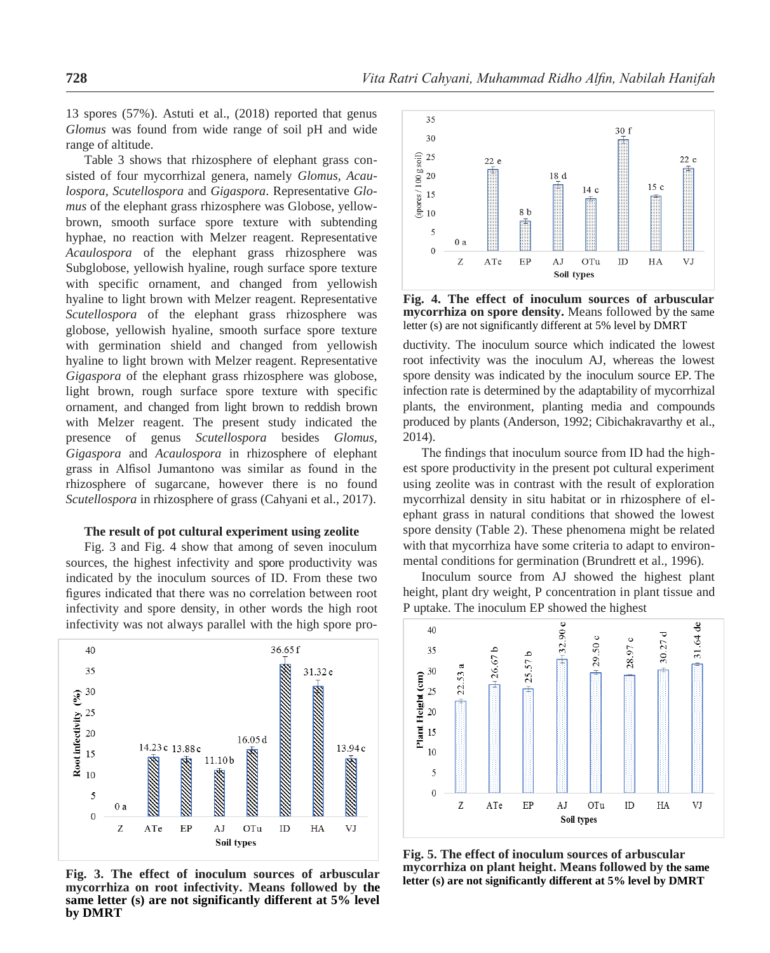13 spores (57%). Astuti et al., (2018) reported that genus *Glomus* was found from wide range of soil pH and wide range of altitude.

Table 3 shows that rhizosphere of elephant grass consisted of four mycorrhizal genera, namely *Glomus, Acaulospora, Scutellospora* and *Gigaspora*. Representative *Glomus* of the elephant grass rhizosphere was Globose, yellowbrown, smooth surface spore texture with subtending hyphae, no reaction with Melzer reagent. Representative *Acaulospora* of the elephant grass rhizosphere was Subglobose, yellowish hyaline, rough surface spore texture with specific ornament, and changed from yellowish hyaline to light brown with Melzer reagent. Representative *Scutellospora* of the elephant grass rhizosphere was globose, yellowish hyaline, smooth surface spore texture with germination shield and changed from yellowish hyaline to light brown with Melzer reagent. Representative *Gigaspora* of the elephant grass rhizosphere was globose, light brown, rough surface spore texture with specific ornament, and changed from light brown to reddish brown with Melzer reagent. The present study indicated the presence of genus *Scutellospora* besides *Glomus, Gigaspora* and *Acaulospora* in rhizosphere of elephant grass in Alfisol Jumantono was similar as found in the rhizosphere of sugarcane, however there is no found *Scutellospora* in rhizosphere of grass (Cahyani et al., 2017).

#### **The result of pot cultural experiment using zeolite**

Fig. 3 and Fig. 4 show that among of seven inoculum sources, the highest infectivity and spore productivity was indicated by the inoculum sources of ID. From these two figures indicated that there was no correlation between root infectivity and spore density, in other words the high root infectivity was not always parallel with the high spore pro-



**Fig. 3. The effect of inoculum sources of arbuscular mycorrhiza on root infectivity. Means followed by the same letter (s) are not significantly different at 5% level by DMRT**



**Fig. 4. The effect of inoculum sources of arbuscular mycorrhiza on spore density.** Means followed by the same letter (s) are not significantly different at 5% level by DMRT

ductivity. The inoculum source which indicated the lowest root infectivity was the inoculum AJ, whereas the lowest spore density was indicated by the inoculum source EP. The infection rate is determined by the adaptability of mycorrhizal plants, the environment, planting media and compounds produced by plants (Anderson, 1992; Cibichakravarthy et al., 2014).

The findings that inoculum source from ID had the highest spore productivity in the present pot cultural experiment using zeolite was in contrast with the result of exploration mycorrhizal density in situ habitat or in rhizosphere of elephant grass in natural conditions that showed the lowest spore density (Table 2). These phenomena might be related with that mycorrhiza have some criteria to adapt to environmental conditions for germination (Brundrett et al., 1996).

Inoculum source from AJ showed the highest plant height, plant dry weight, P concentration in plant tissue and P uptake. The inoculum EP showed the highest



**Fig. 5. The effect of inoculum sources of arbuscular mycorrhiza on plant height. Means followed by the same letter (s) are not significantly different at 5% level by DMRT**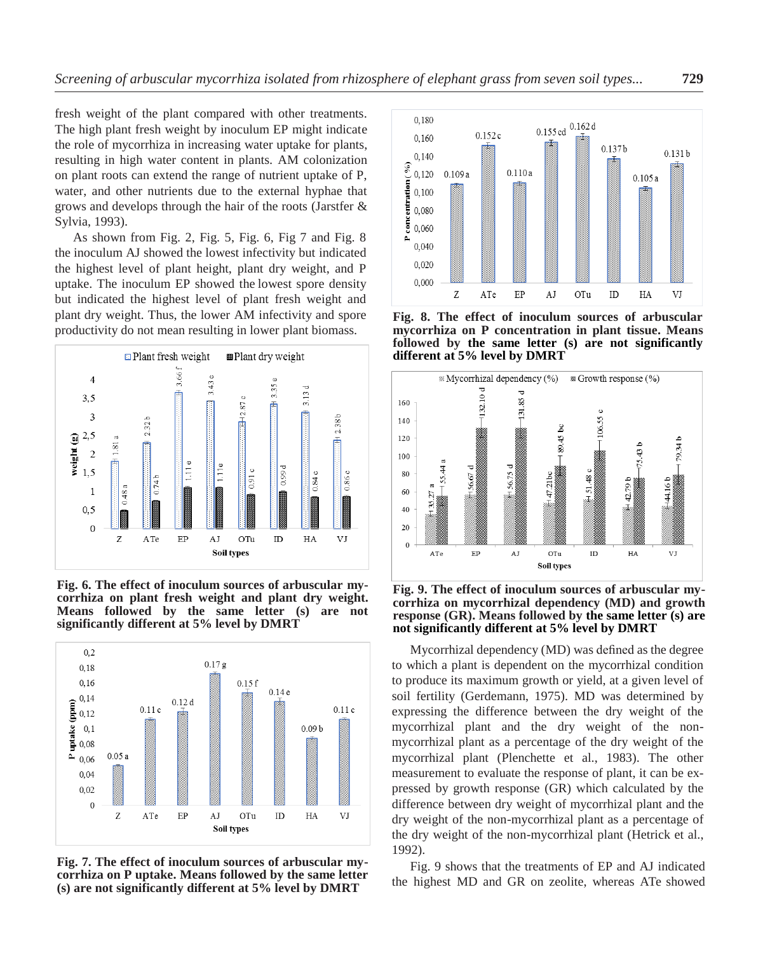fresh weight of the plant compared with other treatments. The high plant fresh weight by inoculum EP might indicate the role of mycorrhiza in increasing water uptake for plants, resulting in high water content in plants. AM colonization on plant roots can extend the range of nutrient uptake of P, water, and other nutrients due to the external hyphae that grows and develops through the hair of the roots (Jarstfer & Sylvia, 1993).

As shown from Fig. 2, Fig. 5, Fig. 6, Fig 7 and Fig. 8 the inoculum AJ showed the lowest infectivity but indicated the highest level of plant height, plant dry weight, and P uptake. The inoculum EP showed the lowest spore density but indicated the highest level of plant fresh weight and plant dry weight. Thus, the lower AM infectivity and spore productivity do not mean resulting in lower plant biomass.



**Fig. 6. The effect of inoculum sources of arbuscular mycorrhiza on plant fresh weight and plant dry weight. Means followed by the same letter (s) are not significantly different at 5% level by DMRT**



**Fig. 7. The effect of inoculum sources of arbuscular mycorrhiza on P uptake. Means followed by the same letter (s) are not significantly different at 5% level by DMRT**



**Fig. 8. The effect of inoculum sources of arbuscular mycorrhiza on P concentration in plant tissue. Means followed by the same letter (s) are not significantly different at 5% level by DMRT**



**Fig. 9. The effect of inoculum sources of arbuscular mycorrhiza on mycorrhizal dependency (MD) and growth response (GR). Means followed by the same letter (s) are not significantly different at 5% level by DMRT**

Mycorrhizal dependency (MD) was defined as the degree to which a plant is dependent on the mycorrhizal condition to produce its maximum growth or yield, at a given level of soil fertility (Gerdemann, 1975). MD was determined by expressing the difference between the dry weight of the mycorrhizal plant and the dry weight of the nonmycorrhizal plant as a percentage of the dry weight of the mycorrhizal plant (Plenchette et al., 1983). The other measurement to evaluate the response of plant, it can be expressed by growth response (GR) which calculated by the difference between dry weight of mycorrhizal plant and the dry weight of the non-mycorrhizal plant as a percentage of the dry weight of the non-mycorrhizal plant (Hetrick et al., 1992).

Fig. 9 shows that the treatments of EP and AJ indicated the highest MD and GR on zeolite, whereas ATe showed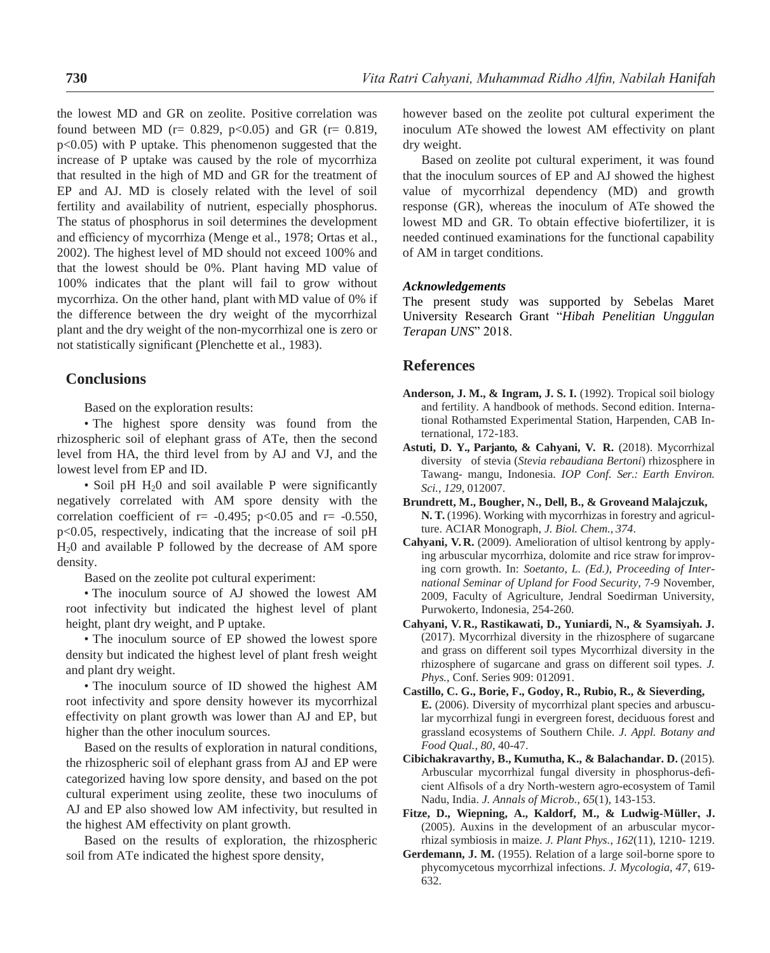the lowest MD and GR on zeolite. Positive correlation was found between MD ( $r = 0.829$ ,  $p < 0.05$ ) and GR ( $r = 0.819$ , p<0.05) with P uptake. This phenomenon suggested that the increase of P uptake was caused by the role of mycorrhiza that resulted in the high of MD and GR for the treatment of EP and AJ. MD is closely related with the level of soil fertility and availability of nutrient, especially phosphorus. The status of phosphorus in soil determines the development and efficiency of mycorrhiza (Menge et al., 1978; Ortas et al., 2002). The highest level of MD should not exceed 100% and that the lowest should be 0%. Plant having MD value of 100% indicates that the plant will fail to grow without mycorrhiza. On the other hand, plant with MD value of 0% if the difference between the dry weight of the mycorrhizal plant and the dry weight of the non-mycorrhizal one is zero or not statistically significant (Plenchette et al., 1983).

### **Conclusions**

Based on the exploration results:

• The highest spore density was found from the rhizospheric soil of elephant grass of ATe, then the second level from HA, the third level from by AJ and VJ, and the lowest level from EP and ID.

• Soil pH  $H<sub>2</sub>0$  and soil available P were significantly negatively correlated with AM spore density with the correlation coefficient of  $r = -0.495$ ; p<0.05 and  $r = -0.550$ , p<0.05, respectively, indicating that the increase of soil pH H20 and available P followed by the decrease of AM spore density.

Based on the zeolite pot cultural experiment:

• The inoculum source of AJ showed the lowest AM root infectivity but indicated the highest level of plant height, plant dry weight, and P uptake.

• The inoculum source of EP showed the lowest spore density but indicated the highest level of plant fresh weight and plant dry weight.

• The inoculum source of ID showed the highest AM root infectivity and spore density however its mycorrhizal effectivity on plant growth was lower than AJ and EP, but higher than the other inoculum sources.

Based on the results of exploration in natural conditions, the rhizospheric soil of elephant grass from AJ and EP were categorized having low spore density, and based on the pot cultural experiment using zeolite, these two inoculums of AJ and EP also showed low AM infectivity, but resulted in the highest AM effectivity on plant growth.

Based on the results of exploration, the rhizospheric soil from ATe indicated the highest spore density,

however based on the zeolite pot cultural experiment the inoculum ATe showed the lowest AM effectivity on plant dry weight.

Based on zeolite pot cultural experiment, it was found that the inoculum sources of EP and AJ showed the highest value of mycorrhizal dependency (MD) and growth response (GR), whereas the inoculum of ATe showed the lowest MD and GR. To obtain effective biofertilizer, it is needed continued examinations for the functional capability of AM in target conditions.

#### *Acknowledgements*

The present study was supported by Sebelas Maret University Research Grant "*Hibah Penelitian Unggulan Terapan UNS*" 2018.

## **References**

- **Anderson, J. M., & Ingram, J. S. I.** (1992). Tropical soil biology and fertility. A handbook of methods. Second edition. International Rothamsted Experimental Station, Harpenden, CAB International, 172-183.
- **Astuti, D. Y., Parjanto, & Cahyani, V. R.** (2018). Mycorrhizal diversity of stevia (*Stevia rebaudiana Bertoni*) rhizosphere in Tawang- mangu, Indonesia. *IOP Conf. Ser.: Earth Environ. Sci., 129*, 012007.
- **Brundrett, M., Bougher, N., Dell, B., & Groveand Malajczuk, N. T.** (1996). Working with mycorrhizas in forestry and agriculture. ACIAR Monograph, *J. Biol. Chem., 374*.
- **Cahyani, V. R.** (2009). Amelioration of ultisol kentrong by applying arbuscular mycorrhiza, dolomite and rice straw forimproving corn growth. In: *Soetanto, L. (Ed.), Proceeding of International Seminar of Upland for Food Security,* 7-9 November, 2009, Faculty of Agriculture, Jendral Soedirman University, Purwokerto, Indonesia, 254-260.
- **Cahyani, V. R., Rastikawati, D., Yuniardi, N., & Syamsiyah. J.**  (2017). Mycorrhizal diversity in the rhizosphere of sugarcane and grass on different soil types Mycorrhizal diversity in the rhizosphere of sugarcane and grass on different soil types. *J. Phys.,* Conf. Series 909: 012091.
- **Castillo, C. G., Borie, F., Godoy, R., Rubio, R., & Sieverding, E.** (2006). Diversity of mycorrhizal plant species and arbuscular mycorrhizal fungi in evergreen forest, deciduous forest and grassland ecosystems of Southern Chile. *J. Appl. Botany and Food Qual., 80*, 40-47.
- **Cibichakravarthy, B., Kumutha, K., & Balachandar. D.** (2015). Arbuscular mycorrhizal fungal diversity in phosphorus-deficient Alfisols of a dry North-western agro-ecosystem of Tamil Nadu, India. *J. Annals of Microb.*, *65*(1), 143-153.
- **Fitze, D., Wiepning, A., Kaldorf, M., & Ludwig-Müller, J.**  (2005). Auxins in the development of an arbuscular mycorrhizal symbiosis in maize. *J. Plant Phys.*, *162*(11), 1210- 1219.
- **Gerdemann, J. M.** (1955). Relation of a large soil-borne spore to phycomycetous mycorrhizal infections. *J. Mycologia, 47*, 619- 632.